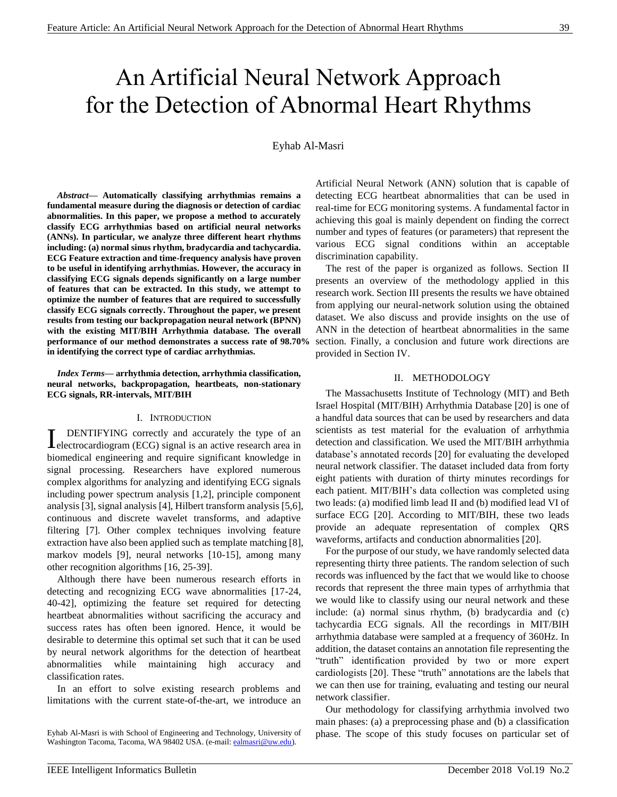# An Artificial Neural Network Approach for the Detection of Abnormal Heart Rhythms

Eyhab Al-Masri

*Abstract***— Automatically classifying arrhythmias remains a fundamental measure during the diagnosis or detection of cardiac abnormalities. In this paper, we propose a method to accurately classify ECG arrhythmias based on artificial neural networks (ANNs). In particular, we analyze three different heart rhythms including: (a) normal sinus rhythm, bradycardia and tachycardia. ECG Feature extraction and time-frequency analysis have proven to be useful in identifying arrhythmias. However, the accuracy in classifying ECG signals depends significantly on a large number of features that can be extracted. In this study, we attempt to optimize the number of features that are required to successfully classify ECG signals correctly. Throughout the paper, we present results from testing our backpropagation neural network (BPNN) with the existing MIT/BIH Arrhythmia database. The overall performance of our method demonstrates a success rate of 98.70% in identifying the correct type of cardiac arrhythmias.**

*Index Terms***— arrhythmia detection, arrhythmia classification, neural networks, backpropagation, heartbeats, non-stationary ECG signals, RR-intervals, MIT/BIH**

# I. INTRODUCTION

DENTIFYING correctly and accurately the type of an LENTIFYING correctly and accurately the type of an electrocardiogram (ECG) signal is an active research area in biomedical engineering and require significant knowledge in signal processing. Researchers have explored numerous complex algorithms for analyzing and identifying ECG signals including power spectrum analysis [1,2], principle component analysis [3], signal analysis [4], Hilbert transform analysis [5,6], continuous and discrete wavelet transforms, and adaptive filtering [7]. Other complex techniques involving feature extraction have also been applied such as template matching [8], markov models [9], neural networks [10-15], among many other recognition algorithms [16, 25-39].

Although there have been numerous research efforts in detecting and recognizing ECG wave abnormalities [17-24, 40-42], optimizing the feature set required for detecting heartbeat abnormalities without sacrificing the accuracy and success rates has often been ignored. Hence, it would be desirable to determine this optimal set such that it can be used by neural network algorithms for the detection of heartbeat abnormalities while maintaining high accuracy and classification rates.

In an effort to solve existing research problems and limitations with the current state-of-the-art, we introduce an Artificial Neural Network (ANN) solution that is capable of detecting ECG heartbeat abnormalities that can be used in real-time for ECG monitoring systems. A fundamental factor in achieving this goal is mainly dependent on finding the correct number and types of features (or parameters) that represent the various ECG signal conditions within an acceptable discrimination capability.

The rest of the paper is organized as follows. Section II presents an overview of the methodology applied in this research work. Section III presents the results we have obtained from applying our neural-network solution using the obtained dataset. We also discuss and provide insights on the use of ANN in the detection of heartbeat abnormalities in the same section. Finally, a conclusion and future work directions are provided in Section IV.

# II. METHODOLOGY

The Massachusetts Institute of Technology (MIT) and Beth Israel Hospital (MIT/BIH) Arrhythmia Database [20] is one of a handful data sources that can be used by researchers and data scientists as test material for the evaluation of arrhythmia detection and classification. We used the MIT/BIH arrhythmia database's annotated records [20] for evaluating the developed neural network classifier. The dataset included data from forty eight patients with duration of thirty minutes recordings for each patient. MIT/BIH's data collection was completed using two leads: (a) modified limb lead II and (b) modified lead VI of surface ECG [20]. According to MIT/BIH, these two leads provide an adequate representation of complex QRS waveforms, artifacts and conduction abnormalities [20].

For the purpose of our study, we have randomly selected data representing thirty three patients. The random selection of such records was influenced by the fact that we would like to choose records that represent the three main types of arrhythmia that we would like to classify using our neural network and these include: (a) normal sinus rhythm, (b) bradycardia and (c) tachycardia ECG signals. All the recordings in MIT/BIH arrhythmia database were sampled at a frequency of 360Hz. In addition, the dataset contains an annotation file representing the "truth" identification provided by two or more expert cardiologists [20]. These "truth" annotations are the labels that we can then use for training, evaluating and testing our neural network classifier.

Our methodology for classifying arrhythmia involved two main phases: (a) a preprocessing phase and (b) a classification phase. The scope of this study focuses on particular set of

Eyhab Al-Masri is with School of Engineering and Technology, University of Washington Tacoma, Tacoma, WA 98402 USA. (e-mail[: ealmasri@uw.edu\)](mailto:ealmasri@uw.edu).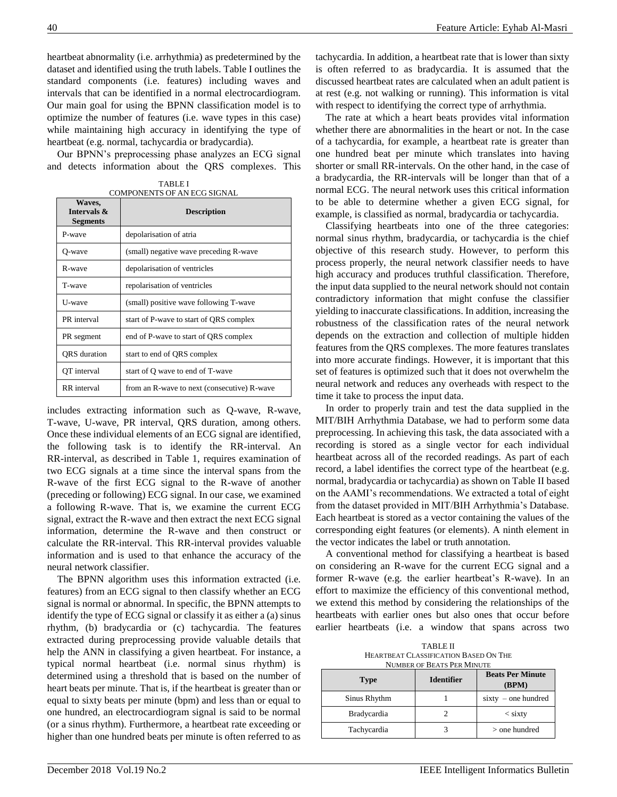heartbeat abnormality (i.e. arrhythmia) as predetermined by the dataset and identified using the truth labels. Table I outlines the standard components (i.e. features) including waves and intervals that can be identified in a normal electrocardiogram. Our main goal for using the BPNN classification model is to optimize the number of features (i.e. wave types in this case) while maintaining high accuracy in identifying the type of heartbeat (e.g. normal, tachycardia or bradycardia).

Our BPNN's preprocessing phase analyzes an ECG signal and detects information about the QRS complexes. This

| Waves,<br>Intervals &<br><b>Segments</b> | <b>Description</b>                          |  |
|------------------------------------------|---------------------------------------------|--|
| P-wave                                   | depolarisation of atria                     |  |
| O-wave                                   | (small) negative wave preceding R-wave      |  |
| R-wave                                   | depolarisation of ventricles                |  |
| T-wave                                   | repolarisation of ventricles                |  |
| U-wave                                   | (small) positive wave following T-wave      |  |
| PR interval                              | start of P-wave to start of QRS complex     |  |
| PR segment                               | end of P-wave to start of QRS complex       |  |
| <b>ORS</b> duration                      | start to end of QRS complex                 |  |
| OT interval                              | start of O wave to end of T-wave            |  |
| <b>RR</b> interval                       | from an R-wave to next (consecutive) R-wave |  |

TABLE I COMPONENTS OF AN ECG SIGNAL

includes extracting information such as Q-wave, R-wave, T-wave, U-wave, PR interval, QRS duration, among others. Once these individual elements of an ECG signal are identified, the following task is to identify the RR-interval. An RR-interval, as described in Table 1, requires examination of two ECG signals at a time since the interval spans from the R-wave of the first ECG signal to the R-wave of another (preceding or following) ECG signal. In our case, we examined a following R-wave. That is, we examine the current ECG signal, extract the R-wave and then extract the next ECG signal information, determine the R-wave and then construct or calculate the RR-interval. This RR-interval provides valuable information and is used to that enhance the accuracy of the neural network classifier.

The BPNN algorithm uses this information extracted (i.e. features) from an ECG signal to then classify whether an ECG signal is normal or abnormal. In specific, the BPNN attempts to identify the type of ECG signal or classify it as either a (a) sinus rhythm, (b) bradycardia or (c) tachycardia. The features extracted during preprocessing provide valuable details that help the ANN in classifying a given heartbeat. For instance, a typical normal heartbeat (i.e. normal sinus rhythm) is determined using a threshold that is based on the number of heart beats per minute. That is, if the heartbeat is greater than or equal to sixty beats per minute (bpm) and less than or equal to one hundred, an electrocardiogram signal is said to be normal (or a sinus rhythm). Furthermore, a heartbeat rate exceeding or higher than one hundred beats per minute is often referred to as

tachycardia. In addition, a heartbeat rate that is lower than sixty is often referred to as bradycardia. It is assumed that the discussed heartbeat rates are calculated when an adult patient is at rest (e.g. not walking or running). This information is vital with respect to identifying the correct type of arrhythmia.

The rate at which a heart beats provides vital information whether there are abnormalities in the heart or not. In the case of a tachycardia, for example, a heartbeat rate is greater than one hundred beat per minute which translates into having shorter or small RR-intervals. On the other hand, in the case of a bradycardia, the RR-intervals will be longer than that of a normal ECG. The neural network uses this critical information to be able to determine whether a given ECG signal, for example, is classified as normal, bradycardia or tachycardia.

Classifying heartbeats into one of the three categories: normal sinus rhythm, bradycardia, or tachycardia is the chief objective of this research study. However, to perform this process properly, the neural network classifier needs to have high accuracy and produces truthful classification. Therefore, the input data supplied to the neural network should not contain contradictory information that might confuse the classifier yielding to inaccurate classifications. In addition, increasing the robustness of the classification rates of the neural network depends on the extraction and collection of multiple hidden features from the QRS complexes. The more features translates into more accurate findings. However, it is important that this set of features is optimized such that it does not overwhelm the neural network and reduces any overheads with respect to the time it take to process the input data.

In order to properly train and test the data supplied in the MIT/BIH Arrhythmia Database, we had to perform some data preprocessing. In achieving this task, the data associated with a recording is stored as a single vector for each individual heartbeat across all of the recorded readings. As part of each record, a label identifies the correct type of the heartbeat (e.g. normal, bradycardia or tachycardia) as shown on Table II based on the AAMI's recommendations. We extracted a total of eight from the dataset provided in MIT/BIH Arrhythmia's Database. Each heartbeat is stored as a vector containing the values of the corresponding eight features (or elements). A ninth element in the vector indicates the label or truth annotation.

A conventional method for classifying a heartbeat is based on considering an R-wave for the current ECG signal and a former R-wave (e.g. the earlier heartbeat's R-wave). In an effort to maximize the efficiency of this conventional method, we extend this method by considering the relationships of the heartbeats with earlier ones but also ones that occur before earlier heartbeats (i.e. a window that spans across two

| TABLE II                              |
|---------------------------------------|
| HEARTBEAT CLASSIFICATION BASED ON THE |
| NUMBER OF BEATS PER MINUTE            |

| <b>Type</b>        | <b>Identifier</b> | <b>Beats Per Minute</b><br>(BPM) |
|--------------------|-------------------|----------------------------------|
| Sinus Rhythm       |                   | $sixty - one hundred$            |
| <b>Bradycardia</b> |                   | $\langle$ sixty                  |
| Tachycardia        |                   | $>$ one hundred                  |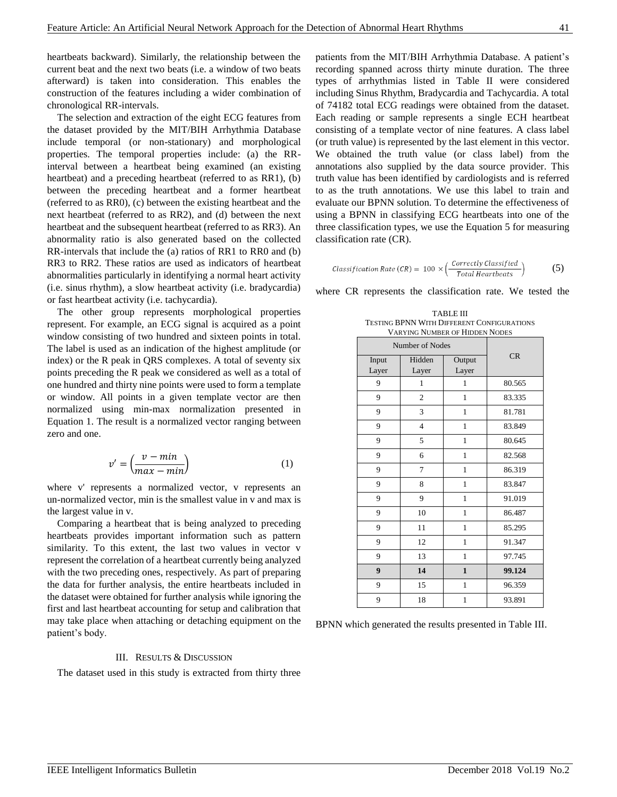heartbeats backward). Similarly, the relationship between the current beat and the next two beats (i.e. a window of two beats afterward) is taken into consideration. This enables the construction of the features including a wider combination of chronological RR-intervals.

The selection and extraction of the eight ECG features from the dataset provided by the MIT/BIH Arrhythmia Database include temporal (or non-stationary) and morphological properties. The temporal properties include: (a) the RRinterval between a heartbeat being examined (an existing heartbeat) and a preceding heartbeat (referred to as RR1), (b) between the preceding heartbeat and a former heartbeat (referred to as RR0), (c) between the existing heartbeat and the next heartbeat (referred to as RR2), and (d) between the next heartbeat and the subsequent heartbeat (referred to as RR3). An abnormality ratio is also generated based on the collected RR-intervals that include the (a) ratios of RR1 to RR0 and (b) RR3 to RR2. These ratios are used as indicators of heartbeat abnormalities particularly in identifying a normal heart activity (i.e. sinus rhythm), a slow heartbeat activity (i.e. bradycardia) or fast heartbeat activity (i.e. tachycardia).

The other group represents morphological properties represent. For example, an ECG signal is acquired as a point window consisting of two hundred and sixteen points in total. The label is used as an indication of the highest amplitude (or index) or the R peak in QRS complexes. A total of seventy six points preceding the R peak we considered as well as a total of one hundred and thirty nine points were used to form a template or window. All points in a given template vector are then normalized using min-max normalization presented in Equation 1. The result is a normalized vector ranging between zero and one.

$$
v' = \left(\frac{v - min}{max - min}\right) \tag{1}
$$

where v' represents a normalized vector, v represents an un-normalized vector, min is the smallest value in v and max is the largest value in v.

Comparing a heartbeat that is being analyzed to preceding heartbeats provides important information such as pattern similarity. To this extent, the last two values in vector v represent the correlation of a heartbeat currently being analyzed with the two preceding ones, respectively. As part of preparing the data for further analysis, the entire heartbeats included in the dataset were obtained for further analysis while ignoring the first and last heartbeat accounting for setup and calibration that may take place when attaching or detaching equipment on the patient's body.

#### III. RESULTS & DISCUSSION

The dataset used in this study is extracted from thirty three

patients from the MIT/BIH Arrhythmia Database. A patient's recording spanned across thirty minute duration. The three types of arrhythmias listed in Table II were considered including Sinus Rhythm, Bradycardia and Tachycardia. A total of 74182 total ECG readings were obtained from the dataset. Each reading or sample represents a single ECH heartbeat consisting of a template vector of nine features. A class label (or truth value) is represented by the last element in this vector. We obtained the truth value (or class label) from the annotations also supplied by the data source provider. This truth value has been identified by cardiologists and is referred to as the truth annotations. We use this label to train and evaluate our BPNN solution. To determine the effectiveness of using a BPNN in classifying ECG heartbeats into one of the three classification types, we use the Equation 5 for measuring classification rate (CR).

$$
Classification Rate (CR) = 100 \times \left(\frac{Correctly \, Classified}{Total \, Heat \, the \, attacks}\right) \tag{5}
$$

TABLE III TESTING BPNN WITH DIFFERENT CONFIGURATIONS

where CR represents the classification rate. We tested the

| <b>VARYING NUMBER OF HIDDEN NODES</b> |                |              |        |  |  |
|---------------------------------------|----------------|--------------|--------|--|--|
| Number of Nodes                       |                |              |        |  |  |
| Input                                 | Hidden         | Output       | CR     |  |  |
| Layer                                 | Layer          | Layer        |        |  |  |
| 9                                     | $\mathbf{1}$   | $\mathbf{1}$ | 80.565 |  |  |
| 9                                     | 2              | 1            | 83.335 |  |  |
| 9                                     | 3              | $\mathbf{1}$ | 81.781 |  |  |
| 9                                     | $\overline{4}$ | 1            | 83.849 |  |  |
| 9                                     | 5              | $\mathbf{1}$ | 80.645 |  |  |
| 9                                     | 6              | 1            | 82.568 |  |  |
| 9                                     | 7              | 1            | 86.319 |  |  |
| 9                                     | 8              | 1            | 83.847 |  |  |
| 9                                     | 9              | 1            | 91.019 |  |  |
| 9                                     | 10             | 1            | 86.487 |  |  |
| 9                                     | 11             | $\mathbf{1}$ | 85.295 |  |  |
| 9                                     | 12             | $\mathbf{1}$ | 91.347 |  |  |
| 9                                     | 13             | $\mathbf{1}$ | 97.745 |  |  |
| $\boldsymbol{9}$                      | 14             | $\mathbf{1}$ | 99.124 |  |  |
| 9                                     | 15             | 1            | 96.359 |  |  |
| 9                                     | 18             | $\mathbf{1}$ | 93.891 |  |  |

BPNN which generated the results presented in Table III.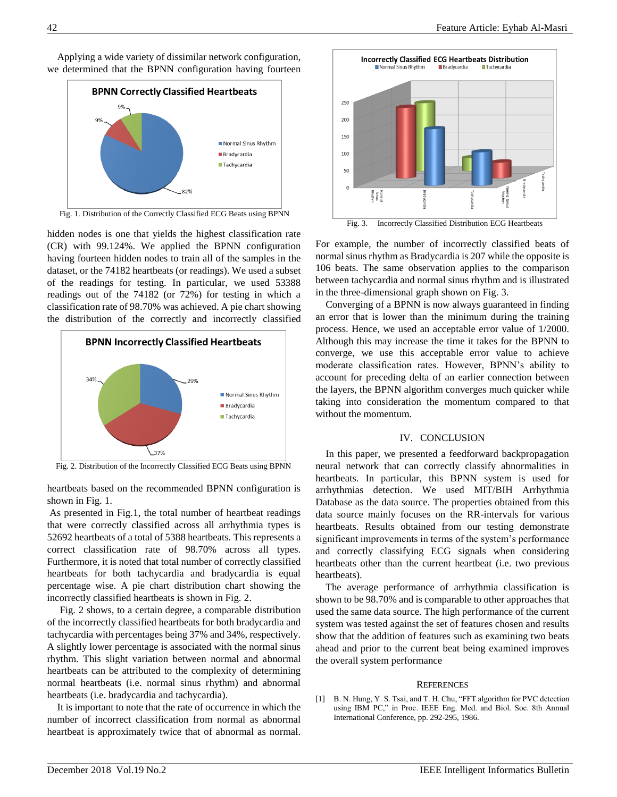Applying a wide variety of dissimilar network configuration, we determined that the BPNN configuration having fourteen



hidden nodes is one that yields the highest classification rate (CR) with 99.124%. We applied the BPNN configuration having fourteen hidden nodes to train all of the samples in the dataset, or the 74182 heartbeats (or readings). We used a subset of the readings for testing. In particular, we used 53388 readings out of the 74182 (or 72%) for testing in which a classification rate of 98.70% was achieved. A pie chart showing the distribution of the correctly and incorrectly classified



Fig. 2. Distribution of the Incorrectly Classified ECG Beats using BPNN

heartbeats based on the recommended BPNN configuration is shown in Fig. 1.

As presented in Fig.1, the total number of heartbeat readings that were correctly classified across all arrhythmia types is 52692 heartbeats of a total of 5388 heartbeats. This represents a correct classification rate of 98.70% across all types. Furthermore, it is noted that total number of correctly classified heartbeats for both tachycardia and bradycardia is equal percentage wise. A pie chart distribution chart showing the incorrectly classified heartbeats is shown in Fig. 2.

Fig. 2 shows, to a certain degree, a comparable distribution of the incorrectly classified heartbeats for both bradycardia and tachycardia with percentages being 37% and 34%, respectively. A slightly lower percentage is associated with the normal sinus rhythm. This slight variation between normal and abnormal heartbeats can be attributed to the complexity of determining normal heartbeats (i.e. normal sinus rhythm) and abnormal heartbeats (i.e. bradycardia and tachycardia).

It is important to note that the rate of occurrence in which the number of incorrect classification from normal as abnormal heartbeat is approximately twice that of abnormal as normal.



Fig. 3. Incorrectly Classified Distribution ECG Heartbeats

For example, the number of incorrectly classified beats of normal sinus rhythm as Bradycardia is 207 while the opposite is 106 beats. The same observation applies to the comparison between tachycardia and normal sinus rhythm and is illustrated in the three-dimensional graph shown on Fig. 3.

Converging of a BPNN is now always guaranteed in finding an error that is lower than the minimum during the training process. Hence, we used an acceptable error value of 1/2000. Although this may increase the time it takes for the BPNN to converge, we use this acceptable error value to achieve moderate classification rates. However, BPNN's ability to account for preceding delta of an earlier connection between the layers, the BPNN algorithm converges much quicker while taking into consideration the momentum compared to that without the momentum.

# IV. CONCLUSION

In this paper, we presented a feedforward backpropagation neural network that can correctly classify abnormalities in heartbeats. In particular, this BPNN system is used for arrhythmias detection. We used MIT/BIH Arrhythmia Database as the data source. The properties obtained from this data source mainly focuses on the RR-intervals for various heartbeats. Results obtained from our testing demonstrate significant improvements in terms of the system's performance and correctly classifying ECG signals when considering heartbeats other than the current heartbeat (i.e. two previous heartbeats).

The average performance of arrhythmia classification is shown to be 98.70% and is comparable to other approaches that used the same data source. The high performance of the current system was tested against the set of features chosen and results show that the addition of features such as examining two beats ahead and prior to the current beat being examined improves the overall system performance

# **REFERENCES**

[1] B. N. Hung, Y. S. Tsai, and T. H. Chu, "FFT algorithm for PVC detection using IBM PC," in Proc. IEEE Eng. Med. and Biol. Soc. 8th Annual International Conference, pp. 292-295, 1986.